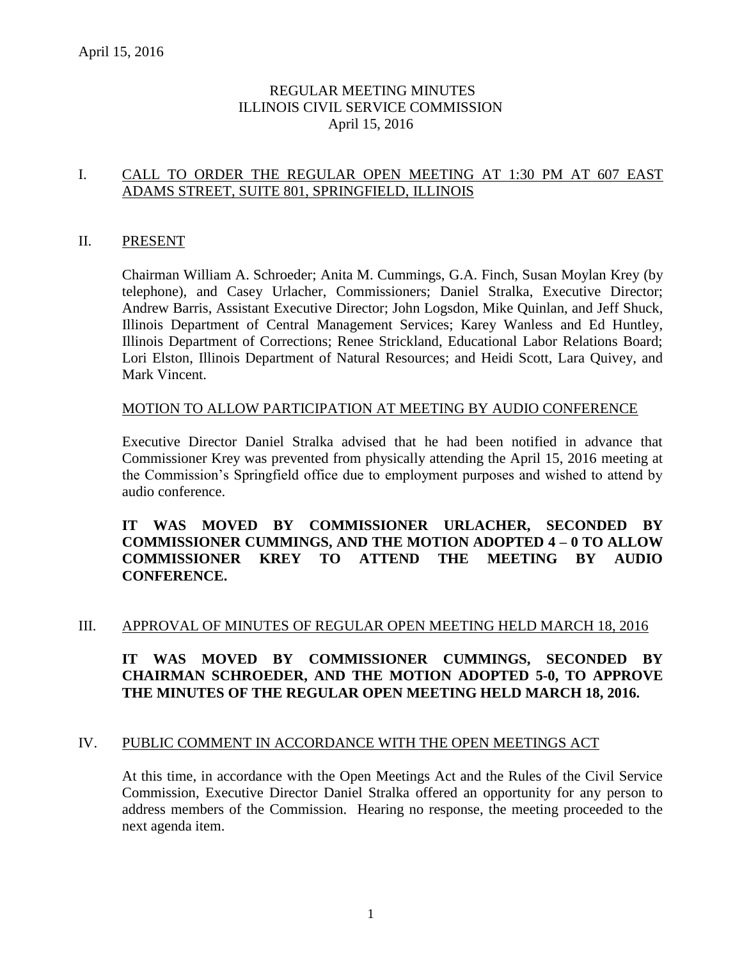# REGULAR MEETING MINUTES ILLINOIS CIVIL SERVICE COMMISSION April 15, 2016

# I. CALL TO ORDER THE REGULAR OPEN MEETING AT 1:30 PM AT 607 EAST ADAMS STREET, SUITE 801, SPRINGFIELD, ILLINOIS

#### II. PRESENT

Chairman William A. Schroeder; Anita M. Cummings, G.A. Finch, Susan Moylan Krey (by telephone), and Casey Urlacher, Commissioners; Daniel Stralka, Executive Director; Andrew Barris, Assistant Executive Director; John Logsdon, Mike Quinlan, and Jeff Shuck, Illinois Department of Central Management Services; Karey Wanless and Ed Huntley, Illinois Department of Corrections; Renee Strickland, Educational Labor Relations Board; Lori Elston, Illinois Department of Natural Resources; and Heidi Scott, Lara Quivey, and Mark Vincent.

#### MOTION TO ALLOW PARTICIPATION AT MEETING BY AUDIO CONFERENCE

Executive Director Daniel Stralka advised that he had been notified in advance that Commissioner Krey was prevented from physically attending the April 15, 2016 meeting at the Commission's Springfield office due to employment purposes and wished to attend by audio conference.

#### **IT WAS MOVED BY COMMISSIONER URLACHER, SECONDED BY COMMISSIONER CUMMINGS, AND THE MOTION ADOPTED 4 – 0 TO ALLOW COMMISSIONER KREY TO ATTEND THE MEETING BY AUDIO CONFERENCE.**

#### III. APPROVAL OF MINUTES OF REGULAR OPEN MEETING HELD MARCH 18, 2016

# **IT WAS MOVED BY COMMISSIONER CUMMINGS, SECONDED BY CHAIRMAN SCHROEDER, AND THE MOTION ADOPTED 5-0, TO APPROVE THE MINUTES OF THE REGULAR OPEN MEETING HELD MARCH 18, 2016.**

#### IV. PUBLIC COMMENT IN ACCORDANCE WITH THE OPEN MEETINGS ACT

At this time, in accordance with the Open Meetings Act and the Rules of the Civil Service Commission, Executive Director Daniel Stralka offered an opportunity for any person to address members of the Commission. Hearing no response, the meeting proceeded to the next agenda item.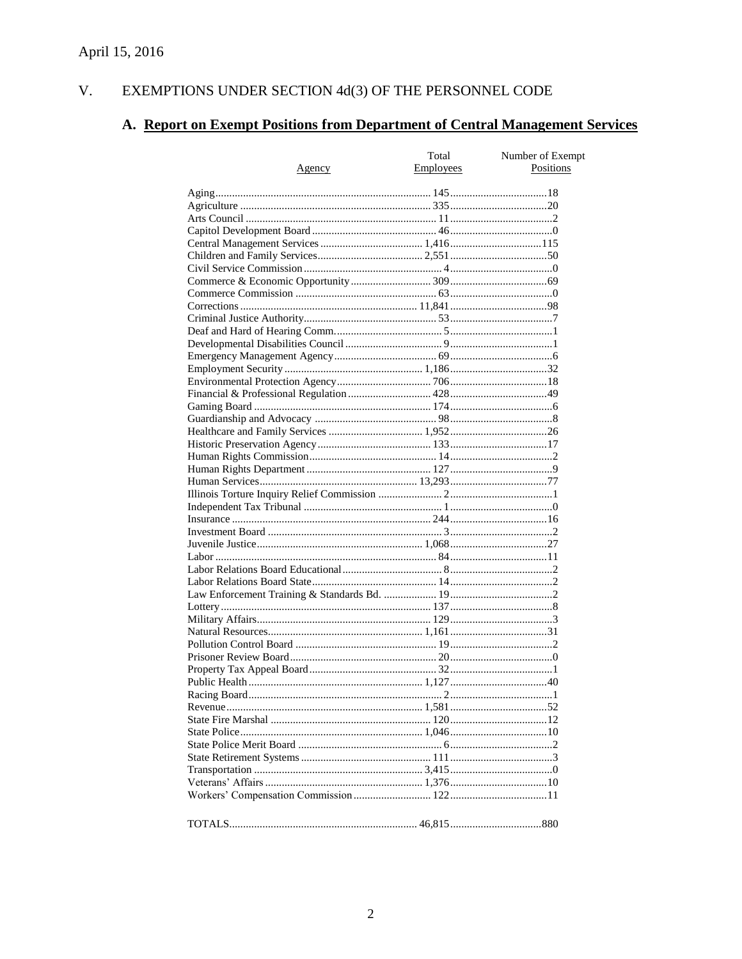#### $V<sub>1</sub>$ EXEMPTIONS UNDER SECTION  $4d(3)$  OF THE PERSONNEL CODE

# A. Report on Exempt Positions from Department of Central Management Services

|               | Total     | Number of Exempt |
|---------------|-----------|------------------|
| <u>Agency</u> | Employees | Positions        |
|               |           |                  |
|               |           |                  |
|               |           |                  |
|               |           |                  |
|               |           |                  |
|               |           |                  |
|               |           |                  |
|               |           |                  |
|               |           |                  |
|               |           |                  |
|               |           |                  |
|               |           |                  |
|               |           |                  |
|               |           |                  |
|               |           |                  |
|               |           |                  |
|               |           |                  |
|               |           |                  |
|               |           |                  |
|               |           |                  |
|               |           |                  |
|               |           |                  |
|               |           |                  |
|               |           |                  |
|               |           |                  |
|               |           |                  |
|               |           |                  |
|               |           |                  |
|               |           |                  |
|               |           |                  |
|               |           |                  |
|               |           |                  |
|               |           |                  |
|               |           |                  |
|               |           |                  |
|               |           |                  |
|               |           |                  |
|               |           |                  |
|               |           |                  |
|               |           |                  |
|               |           |                  |
|               |           |                  |
|               |           |                  |
|               |           |                  |
|               |           |                  |
|               |           |                  |
|               |           |                  |
|               |           |                  |
|               |           |                  |
|               |           |                  |
|               |           |                  |
|               |           |                  |
|               |           |                  |
|               |           |                  |
|               |           |                  |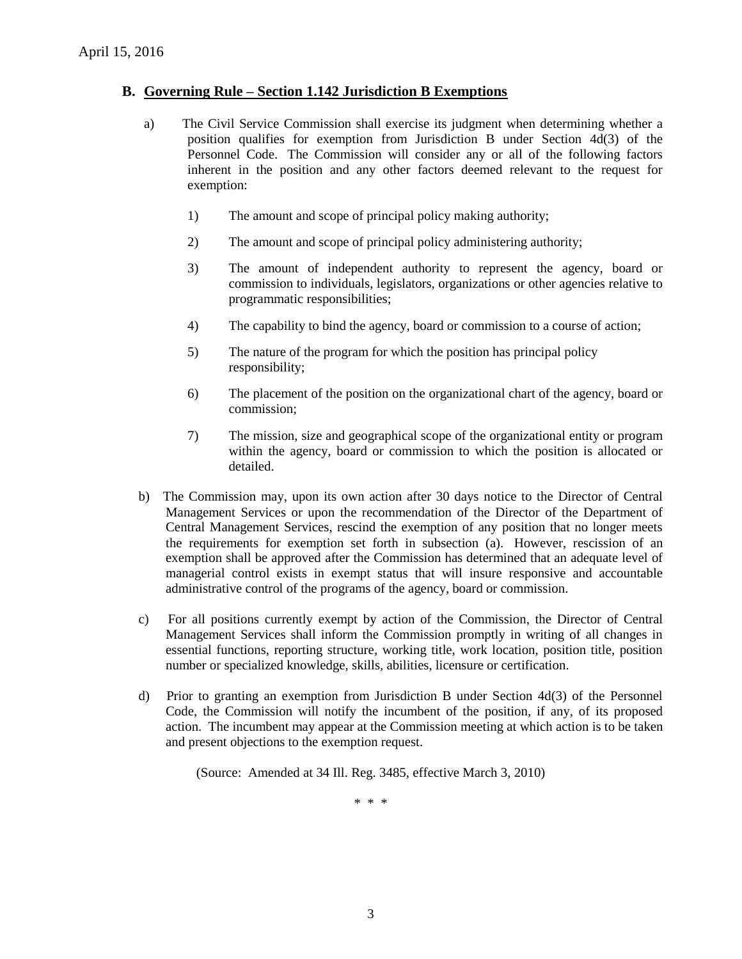#### **B. Governing Rule – Section 1.142 Jurisdiction B Exemptions**

- a) The Civil Service Commission shall exercise its judgment when determining whether a position qualifies for exemption from Jurisdiction B under Section 4d(3) of the Personnel Code. The Commission will consider any or all of the following factors inherent in the position and any other factors deemed relevant to the request for exemption:
	- 1) The amount and scope of principal policy making authority;
	- 2) The amount and scope of principal policy administering authority;
	- 3) The amount of independent authority to represent the agency, board or commission to individuals, legislators, organizations or other agencies relative to programmatic responsibilities;
	- 4) The capability to bind the agency, board or commission to a course of action;
	- 5) The nature of the program for which the position has principal policy responsibility;
	- 6) The placement of the position on the organizational chart of the agency, board or commission;
	- 7) The mission, size and geographical scope of the organizational entity or program within the agency, board or commission to which the position is allocated or detailed.
- b) The Commission may, upon its own action after 30 days notice to the Director of Central Management Services or upon the recommendation of the Director of the Department of Central Management Services, rescind the exemption of any position that no longer meets the requirements for exemption set forth in subsection (a). However, rescission of an exemption shall be approved after the Commission has determined that an adequate level of managerial control exists in exempt status that will insure responsive and accountable administrative control of the programs of the agency, board or commission.
- c) For all positions currently exempt by action of the Commission, the Director of Central Management Services shall inform the Commission promptly in writing of all changes in essential functions, reporting structure, working title, work location, position title, position number or specialized knowledge, skills, abilities, licensure or certification.
- d) Prior to granting an exemption from Jurisdiction B under Section 4d(3) of the Personnel Code, the Commission will notify the incumbent of the position, if any, of its proposed action. The incumbent may appear at the Commission meeting at which action is to be taken and present objections to the exemption request.

(Source: Amended at 34 Ill. Reg. 3485, effective March 3, 2010)

\* \* \*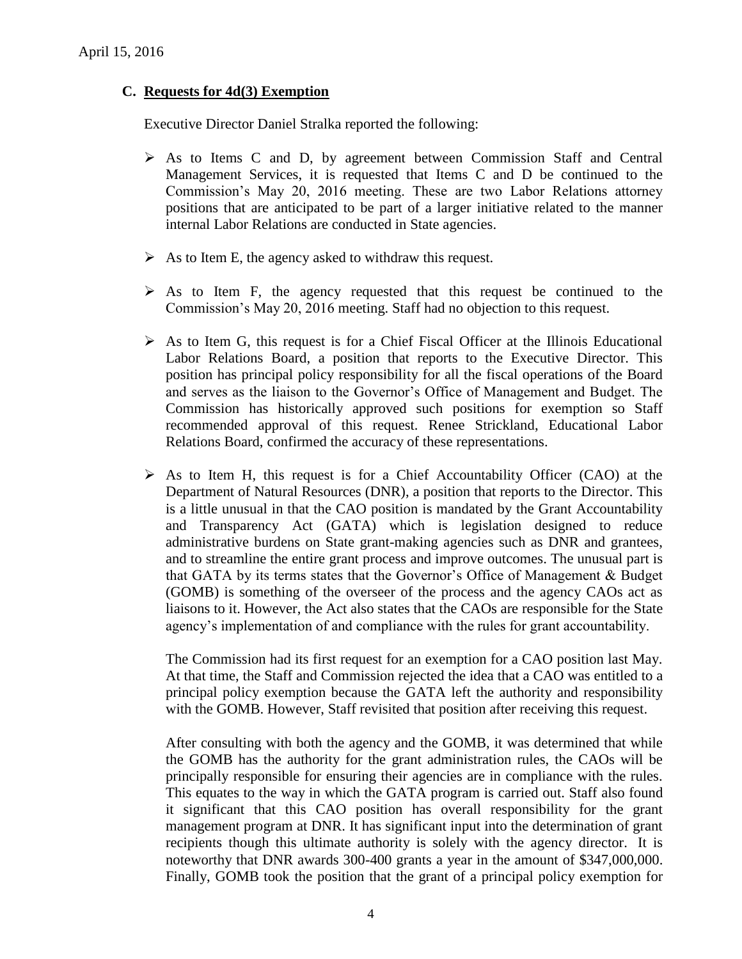# **C. Requests for 4d(3) Exemption**

Executive Director Daniel Stralka reported the following:

- $\triangleright$  As to Items C and D, by agreement between Commission Staff and Central Management Services, it is requested that Items C and D be continued to the Commission's May 20, 2016 meeting. These are two Labor Relations attorney positions that are anticipated to be part of a larger initiative related to the manner internal Labor Relations are conducted in State agencies.
- $\triangleright$  As to Item E, the agency asked to withdraw this request.
- $\triangleright$  As to Item F, the agency requested that this request be continued to the Commission's May 20, 2016 meeting. Staff had no objection to this request.
- $\triangleright$  As to Item G, this request is for a Chief Fiscal Officer at the Illinois Educational Labor Relations Board, a position that reports to the Executive Director. This position has principal policy responsibility for all the fiscal operations of the Board and serves as the liaison to the Governor's Office of Management and Budget. The Commission has historically approved such positions for exemption so Staff recommended approval of this request. Renee Strickland, Educational Labor Relations Board, confirmed the accuracy of these representations.
- $\triangleright$  As to Item H, this request is for a Chief Accountability Officer (CAO) at the Department of Natural Resources (DNR), a position that reports to the Director. This is a little unusual in that the CAO position is mandated by the Grant Accountability and Transparency Act (GATA) which is legislation designed to reduce administrative burdens on State grant-making agencies such as DNR and grantees, and to streamline the entire grant process and improve outcomes. The unusual part is that GATA by its terms states that the Governor's Office of Management & Budget (GOMB) is something of the overseer of the process and the agency CAOs act as liaisons to it. However, the Act also states that the CAOs are responsible for the State agency's implementation of and compliance with the rules for grant accountability.

The Commission had its first request for an exemption for a CAO position last May. At that time, the Staff and Commission rejected the idea that a CAO was entitled to a principal policy exemption because the GATA left the authority and responsibility with the GOMB. However, Staff revisited that position after receiving this request.

After consulting with both the agency and the GOMB, it was determined that while the GOMB has the authority for the grant administration rules, the CAOs will be principally responsible for ensuring their agencies are in compliance with the rules. This equates to the way in which the GATA program is carried out. Staff also found it significant that this CAO position has overall responsibility for the grant management program at DNR. It has significant input into the determination of grant recipients though this ultimate authority is solely with the agency director. It is noteworthy that DNR awards 300-400 grants a year in the amount of \$347,000,000. Finally, GOMB took the position that the grant of a principal policy exemption for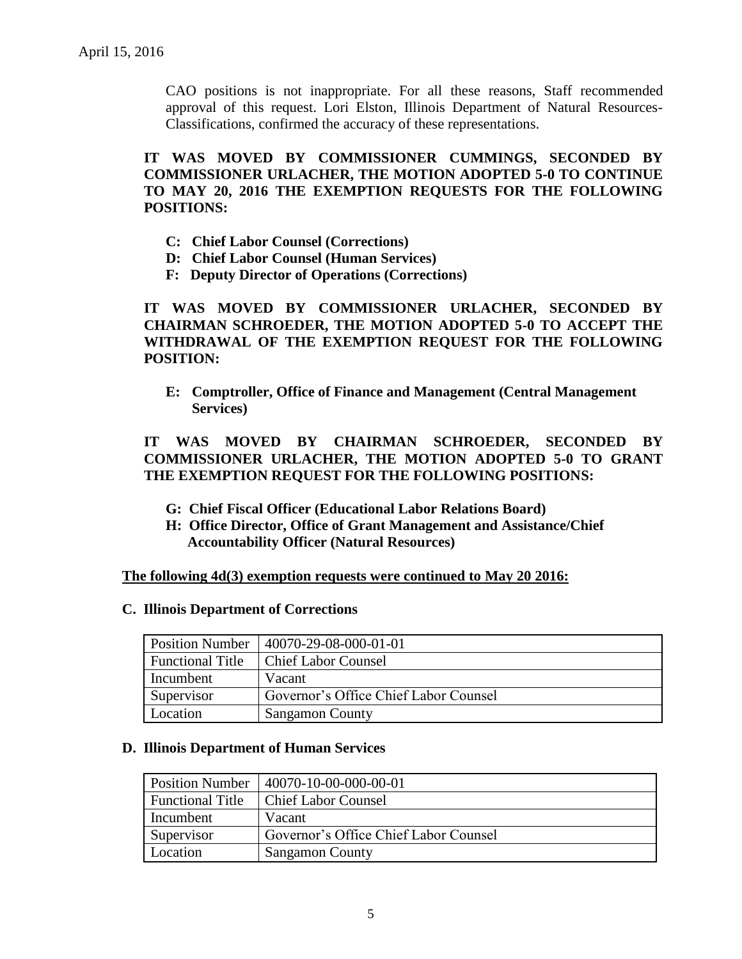CAO positions is not inappropriate. For all these reasons, Staff recommended approval of this request. Lori Elston, Illinois Department of Natural Resources-Classifications, confirmed the accuracy of these representations.

**IT WAS MOVED BY COMMISSIONER CUMMINGS, SECONDED BY COMMISSIONER URLACHER, THE MOTION ADOPTED 5-0 TO CONTINUE TO MAY 20, 2016 THE EXEMPTION REQUESTS FOR THE FOLLOWING POSITIONS:**

- **C: Chief Labor Counsel (Corrections)**
- **D: Chief Labor Counsel (Human Services)**
- **F: Deputy Director of Operations (Corrections)**

**IT WAS MOVED BY COMMISSIONER URLACHER, SECONDED BY CHAIRMAN SCHROEDER, THE MOTION ADOPTED 5-0 TO ACCEPT THE WITHDRAWAL OF THE EXEMPTION REQUEST FOR THE FOLLOWING POSITION:**

**E: Comptroller, Office of Finance and Management (Central Management Services)**

#### **IT WAS MOVED BY CHAIRMAN SCHROEDER, SECONDED BY COMMISSIONER URLACHER, THE MOTION ADOPTED 5-0 TO GRANT THE EXEMPTION REQUEST FOR THE FOLLOWING POSITIONS:**

- **G: Chief Fiscal Officer (Educational Labor Relations Board)**
- **H: Office Director, Office of Grant Management and Assistance/Chief Accountability Officer (Natural Resources)**

**The following 4d(3) exemption requests were continued to May 20 2016:**

#### **C. Illinois Department of Corrections**

| <b>Position Number</b>  | 40070-29-08-000-01-01                 |
|-------------------------|---------------------------------------|
| <b>Functional Title</b> | <b>Chief Labor Counsel</b>            |
| Incumbent               | Vacant                                |
| Supervisor              | Governor's Office Chief Labor Counsel |
| Location                | <b>Sangamon County</b>                |

#### **D. Illinois Department of Human Services**

| <b>Position Number</b>  | 40070-10-00-000-00-01                 |
|-------------------------|---------------------------------------|
| <b>Functional Title</b> | <b>Chief Labor Counsel</b>            |
| Incumbent               | Vacant                                |
| Supervisor              | Governor's Office Chief Labor Counsel |
| Location                | <b>Sangamon County</b>                |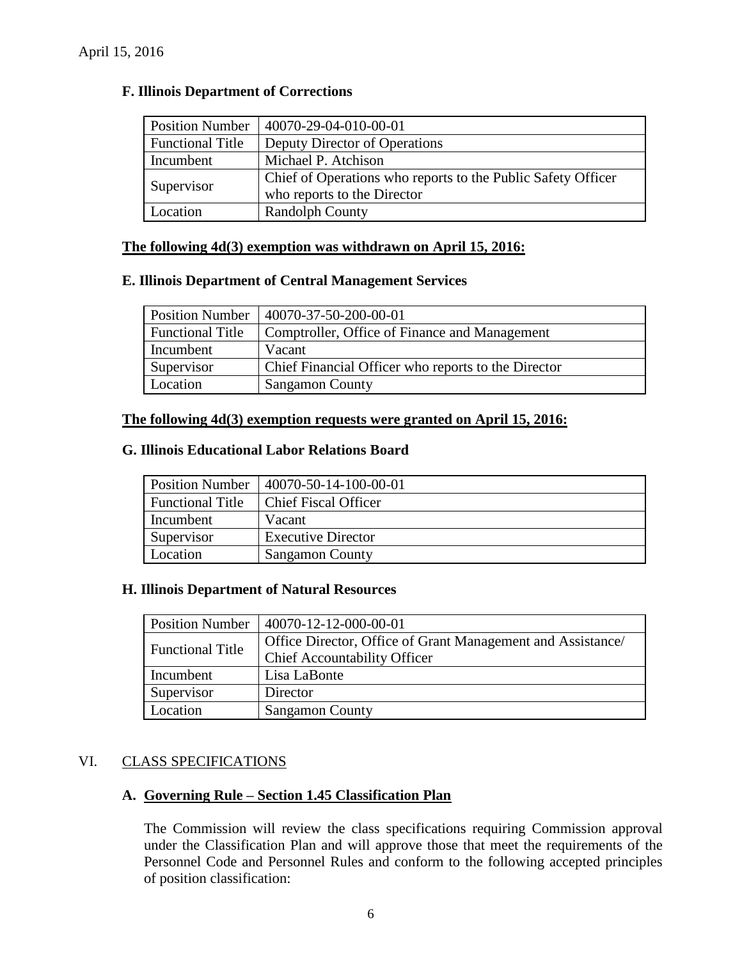| <b>Position Number</b>  | 40070-29-04-010-00-01                                        |
|-------------------------|--------------------------------------------------------------|
| <b>Functional Title</b> | Deputy Director of Operations                                |
| Incumbent               | Michael P. Atchison                                          |
|                         | Chief of Operations who reports to the Public Safety Officer |
| Supervisor              | who reports to the Director                                  |
| Location                | <b>Randolph County</b>                                       |

#### **F. Illinois Department of Corrections**

#### **The following 4d(3) exemption was withdrawn on April 15, 2016:**

#### **E. Illinois Department of Central Management Services**

|                         | Position Number   40070-37-50-200-00-01             |
|-------------------------|-----------------------------------------------------|
| <b>Functional Title</b> | Comptroller, Office of Finance and Management       |
| Incumbent               | Vacant                                              |
| Supervisor              | Chief Financial Officer who reports to the Director |
| Location                | <b>Sangamon County</b>                              |

#### **The following 4d(3) exemption requests were granted on April 15, 2016:**

#### **G. Illinois Educational Labor Relations Board**

| <b>Position Number</b>  | $ 40070-50-14-100-00-01$    |
|-------------------------|-----------------------------|
| <b>Functional Title</b> | <b>Chief Fiscal Officer</b> |
| Incumbent               | Vacant                      |
| Supervisor              | <b>Executive Director</b>   |
| Location                | <b>Sangamon County</b>      |

#### **H. Illinois Department of Natural Resources**

| <b>Position Number</b>  | $ 40070-12-12-000-00-01 $                                   |
|-------------------------|-------------------------------------------------------------|
| <b>Functional Title</b> | Office Director, Office of Grant Management and Assistance/ |
|                         | <b>Chief Accountability Officer</b>                         |
| Incumbent               | Lisa LaBonte                                                |
| Supervisor              | Director                                                    |
| Location                | <b>Sangamon County</b>                                      |

#### VI. CLASS SPECIFICATIONS

# **A. Governing Rule – Section 1.45 Classification Plan**

The Commission will review the class specifications requiring Commission approval under the Classification Plan and will approve those that meet the requirements of the Personnel Code and Personnel Rules and conform to the following accepted principles of position classification: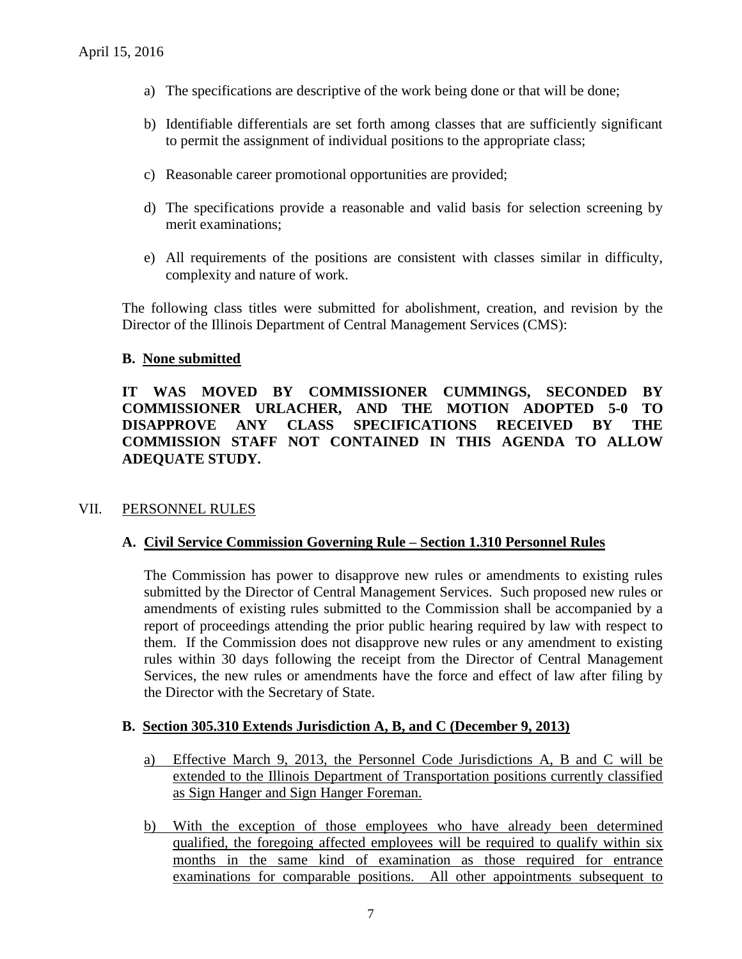- a) The specifications are descriptive of the work being done or that will be done;
- b) Identifiable differentials are set forth among classes that are sufficiently significant to permit the assignment of individual positions to the appropriate class;
- c) Reasonable career promotional opportunities are provided;
- d) The specifications provide a reasonable and valid basis for selection screening by merit examinations;
- e) All requirements of the positions are consistent with classes similar in difficulty, complexity and nature of work.

The following class titles were submitted for abolishment, creation, and revision by the Director of the Illinois Department of Central Management Services (CMS):

#### **B. None submitted**

**IT WAS MOVED BY COMMISSIONER CUMMINGS, SECONDED BY COMMISSIONER URLACHER, AND THE MOTION ADOPTED 5-0 TO DISAPPROVE ANY CLASS SPECIFICATIONS RECEIVED BY THE COMMISSION STAFF NOT CONTAINED IN THIS AGENDA TO ALLOW ADEQUATE STUDY.** 

# VII. PERSONNEL RULES

# **A. Civil Service Commission Governing Rule – Section 1.310 Personnel Rules**

The Commission has power to disapprove new rules or amendments to existing rules submitted by the Director of Central Management Services. Such proposed new rules or amendments of existing rules submitted to the Commission shall be accompanied by a report of proceedings attending the prior public hearing required by law with respect to them. If the Commission does not disapprove new rules or any amendment to existing rules within 30 days following the receipt from the Director of Central Management Services, the new rules or amendments have the force and effect of law after filing by the Director with the Secretary of State.

#### **B. Section 305.310 Extends Jurisdiction A, B, and C (December 9, 2013)**

- a) Effective March 9, 2013, the Personnel Code Jurisdictions A, B and C will be extended to the Illinois Department of Transportation positions currently classified as Sign Hanger and Sign Hanger Foreman.
- b) With the exception of those employees who have already been determined qualified, the foregoing affected employees will be required to qualify within six months in the same kind of examination as those required for entrance examinations for comparable positions. All other appointments subsequent to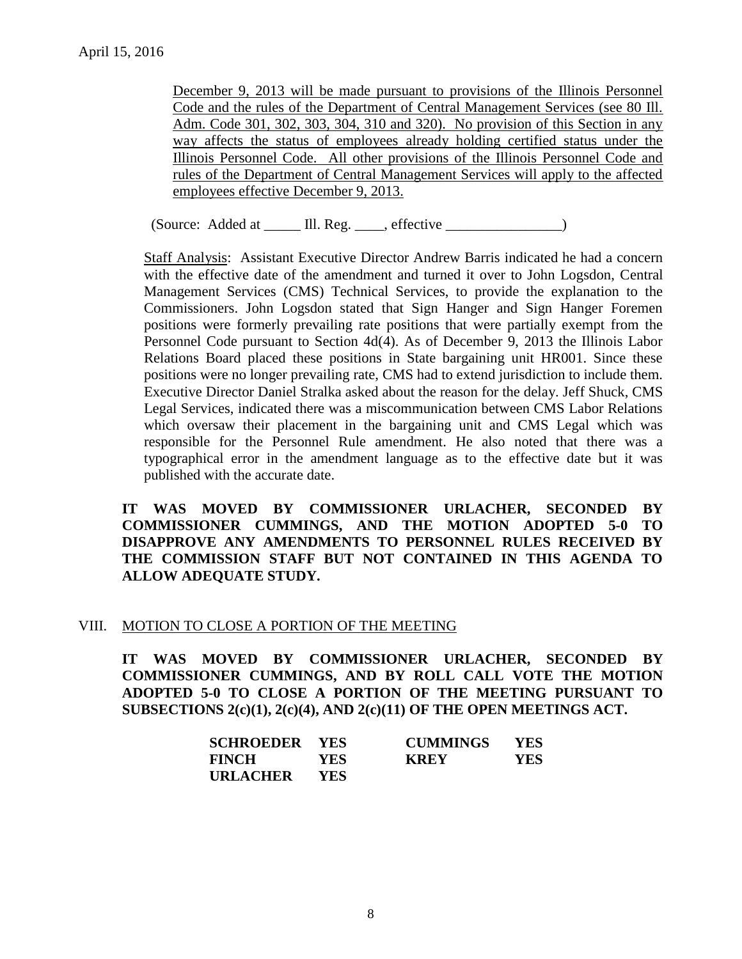December 9, 2013 will be made pursuant to provisions of the Illinois Personnel Code and the rules of the Department of Central Management Services (see 80 Ill. Adm. Code 301, 302, 303, 304, 310 and 320). No provision of this Section in any way affects the status of employees already holding certified status under the Illinois Personnel Code. All other provisions of the Illinois Personnel Code and rules of the Department of Central Management Services will apply to the affected employees effective December 9, 2013.

(Source: Added at \_\_\_\_\_ Ill. Reg. \_\_\_\_, effective \_\_\_\_\_\_\_\_\_\_\_\_\_\_\_\_)

Staff Analysis: Assistant Executive Director Andrew Barris indicated he had a concern with the effective date of the amendment and turned it over to John Logsdon, Central Management Services (CMS) Technical Services, to provide the explanation to the Commissioners. John Logsdon stated that Sign Hanger and Sign Hanger Foremen positions were formerly prevailing rate positions that were partially exempt from the Personnel Code pursuant to Section 4d(4). As of December 9, 2013 the Illinois Labor Relations Board placed these positions in State bargaining unit HR001. Since these positions were no longer prevailing rate, CMS had to extend jurisdiction to include them. Executive Director Daniel Stralka asked about the reason for the delay. Jeff Shuck, CMS Legal Services, indicated there was a miscommunication between CMS Labor Relations which oversaw their placement in the bargaining unit and CMS Legal which was responsible for the Personnel Rule amendment. He also noted that there was a typographical error in the amendment language as to the effective date but it was published with the accurate date.

**IT WAS MOVED BY COMMISSIONER URLACHER, SECONDED BY COMMISSIONER CUMMINGS, AND THE MOTION ADOPTED 5-0 TO DISAPPROVE ANY AMENDMENTS TO PERSONNEL RULES RECEIVED BY THE COMMISSION STAFF BUT NOT CONTAINED IN THIS AGENDA TO ALLOW ADEQUATE STUDY.** 

# VIII. MOTION TO CLOSE A PORTION OF THE MEETING

**IT WAS MOVED BY COMMISSIONER URLACHER, SECONDED BY COMMISSIONER CUMMINGS, AND BY ROLL CALL VOTE THE MOTION ADOPTED 5-0 TO CLOSE A PORTION OF THE MEETING PURSUANT TO SUBSECTIONS 2(c)(1), 2(c)(4), AND 2(c)(11) OF THE OPEN MEETINGS ACT.**

| <b>SCHROEDER YES</b> |            | <b>CUMMINGS</b> | - YES |
|----------------------|------------|-----------------|-------|
| <b>FINCH</b>         | <b>YES</b> | <b>KREY</b>     | YES.  |
| URLACHER             | <b>YES</b> |                 |       |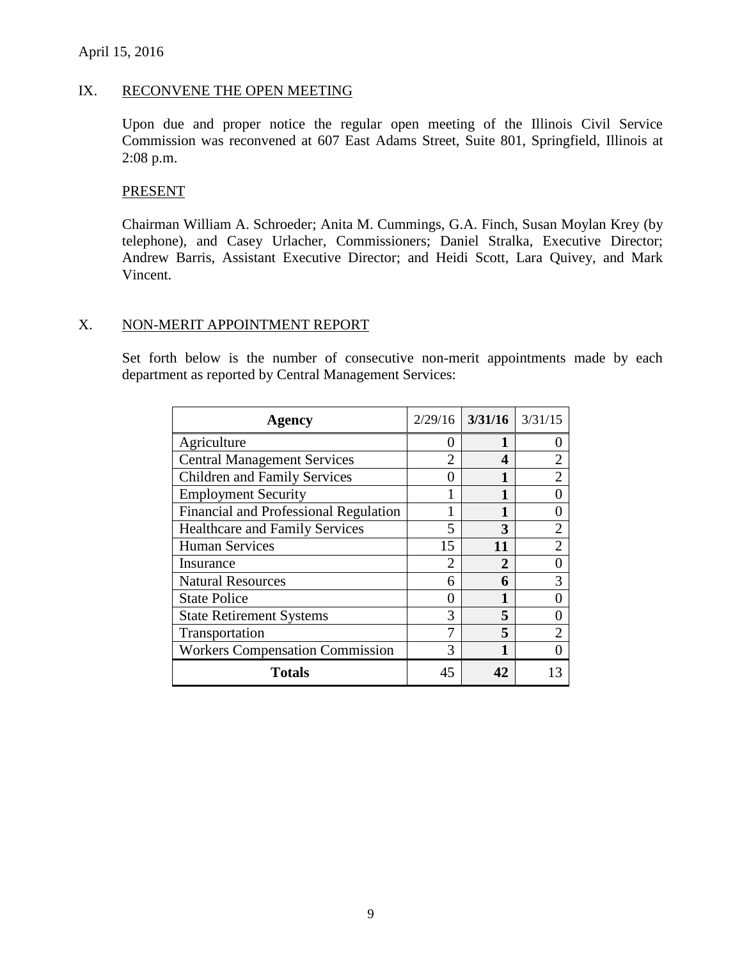#### April 15, 2016

#### IX. RECONVENE THE OPEN MEETING

Upon due and proper notice the regular open meeting of the Illinois Civil Service Commission was reconvened at 607 East Adams Street, Suite 801, Springfield, Illinois at 2:08 p.m.

#### PRESENT

Chairman William A. Schroeder; Anita M. Cummings, G.A. Finch, Susan Moylan Krey (by telephone), and Casey Urlacher, Commissioners; Daniel Stralka, Executive Director; Andrew Barris, Assistant Executive Director; and Heidi Scott, Lara Quivey, and Mark Vincent.

#### X. NON-MERIT APPOINTMENT REPORT

Set forth below is the number of consecutive non-merit appointments made by each department as reported by Central Management Services:

| <b>Agency</b>                          |                | $2/29/16$ 3/31/16 | 3/31/15        |
|----------------------------------------|----------------|-------------------|----------------|
| Agriculture                            | $\mathbf{0}$   |                   |                |
| <b>Central Management Services</b>     | 2              | 4                 | 2              |
| <b>Children and Family Services</b>    | 0              |                   | $\mathcal{D}$  |
| <b>Employment Security</b>             |                |                   |                |
| Financial and Professional Regulation  |                | 1                 |                |
| <b>Healthcare and Family Services</b>  | 5              | 3                 | 2              |
| <b>Human Services</b>                  | 15             | 11                | $\overline{2}$ |
| Insurance                              | $\overline{2}$ | 2                 |                |
| <b>Natural Resources</b>               | 6              | 6                 | 3              |
| <b>State Police</b>                    | 0              |                   |                |
| <b>State Retirement Systems</b>        | 3              | 5                 |                |
| Transportation                         | 7              | 5.                | $\mathfrak{D}$ |
| <b>Workers Compensation Commission</b> | 3              | 1                 |                |
| <b>Totals</b>                          | 45             | 42                |                |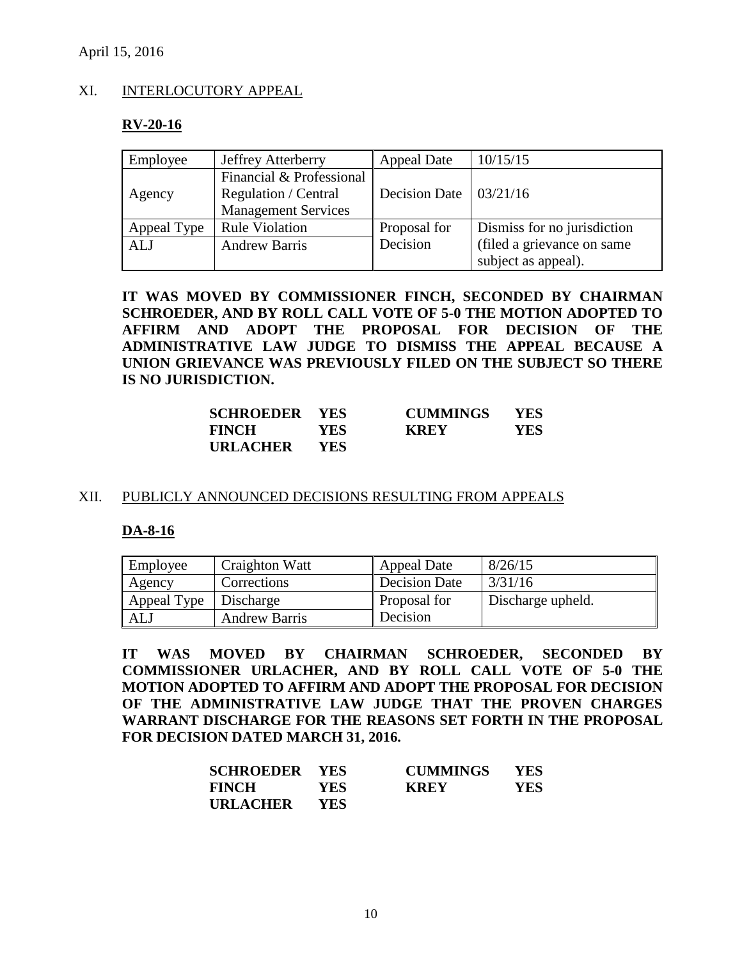### XI. INTERLOCUTORY APPEAL

#### **RV-20-16**

| Employee    | <b>Jeffrey Atterberry</b>                        | <b>Appeal Date</b>                   | 10/15/15                    |
|-------------|--------------------------------------------------|--------------------------------------|-----------------------------|
| Agency      | Financial & Professional<br>Regulation / Central | Decision Date $\vert 03/21/16 \vert$ |                             |
|             | <b>Management Services</b>                       |                                      |                             |
| Appeal Type | <b>Rule Violation</b>                            | Proposal for                         | Dismiss for no jurisdiction |
| <b>ALJ</b>  | <b>Andrew Barris</b>                             | Decision                             | (filed a grievance on same  |
|             |                                                  |                                      | subject as appeal).         |

**IT WAS MOVED BY COMMISSIONER FINCH, SECONDED BY CHAIRMAN SCHROEDER, AND BY ROLL CALL VOTE OF 5-0 THE MOTION ADOPTED TO AFFIRM AND ADOPT THE PROPOSAL FOR DECISION OF THE ADMINISTRATIVE LAW JUDGE TO DISMISS THE APPEAL BECAUSE A UNION GRIEVANCE WAS PREVIOUSLY FILED ON THE SUBJECT SO THERE IS NO JURISDICTION.**

| <b>SCHROEDER YES</b> |      | <b>CUMMINGS</b> | <b>YES</b> |
|----------------------|------|-----------------|------------|
| <b>FINCH</b>         | YES. | <b>KREY</b>     | YES        |
| <b>URLACHER</b>      | YES. |                 |            |

#### XII. PUBLICLY ANNOUNCED DECISIONS RESULTING FROM APPEALS

#### **DA-8-16**

| Employee    | Craighton Watt       | <b>Appeal Date</b>   | 8/26/15           |
|-------------|----------------------|----------------------|-------------------|
| Agency      | Corrections          | <b>Decision Date</b> | 3/31/16           |
| Appeal Type | Discharge            | Proposal for         | Discharge upheld. |
| ALJ         | <b>Andrew Barris</b> | Decision             |                   |

**IT WAS MOVED BY CHAIRMAN SCHROEDER, SECONDED BY COMMISSIONER URLACHER, AND BY ROLL CALL VOTE OF 5-0 THE MOTION ADOPTED TO AFFIRM AND ADOPT THE PROPOSAL FOR DECISION OF THE ADMINISTRATIVE LAW JUDGE THAT THE PROVEN CHARGES WARRANT DISCHARGE FOR THE REASONS SET FORTH IN THE PROPOSAL FOR DECISION DATED MARCH 31, 2016.**

| <b>SCHROEDER YES</b> |            | <b>CUMMINGS</b> | - YES - |
|----------------------|------------|-----------------|---------|
| <b>FINCH</b>         | YES-       | <b>KREY</b>     | YES.    |
| URLACHER             | <b>YES</b> |                 |         |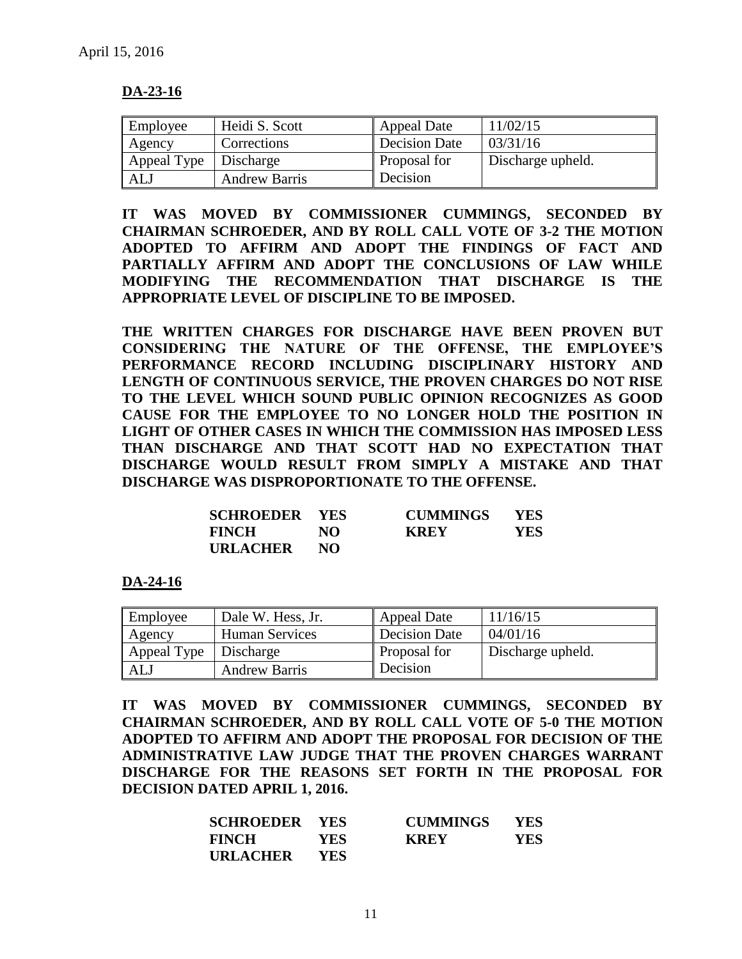#### **DA-23-16**

| Employee    | Heidi S. Scott       | <b>Appeal Date</b>   | 11/02/15          |
|-------------|----------------------|----------------------|-------------------|
| Agency      | Corrections          | <b>Decision Date</b> | 03/31/16          |
| Appeal Type | Discharge            | Proposal for         | Discharge upheld. |
| ALJ         | <b>Andrew Barris</b> | Decision             |                   |

**IT WAS MOVED BY COMMISSIONER CUMMINGS, SECONDED BY CHAIRMAN SCHROEDER, AND BY ROLL CALL VOTE OF 3-2 THE MOTION ADOPTED TO AFFIRM AND ADOPT THE FINDINGS OF FACT AND PARTIALLY AFFIRM AND ADOPT THE CONCLUSIONS OF LAW WHILE MODIFYING THE RECOMMENDATION THAT DISCHARGE IS THE APPROPRIATE LEVEL OF DISCIPLINE TO BE IMPOSED.** 

**THE WRITTEN CHARGES FOR DISCHARGE HAVE BEEN PROVEN BUT CONSIDERING THE NATURE OF THE OFFENSE, THE EMPLOYEE'S PERFORMANCE RECORD INCLUDING DISCIPLINARY HISTORY AND LENGTH OF CONTINUOUS SERVICE, THE PROVEN CHARGES DO NOT RISE TO THE LEVEL WHICH SOUND PUBLIC OPINION RECOGNIZES AS GOOD CAUSE FOR THE EMPLOYEE TO NO LONGER HOLD THE POSITION IN LIGHT OF OTHER CASES IN WHICH THE COMMISSION HAS IMPOSED LESS THAN DISCHARGE AND THAT SCOTT HAD NO EXPECTATION THAT DISCHARGE WOULD RESULT FROM SIMPLY A MISTAKE AND THAT DISCHARGE WAS DISPROPORTIONATE TO THE OFFENSE.**

| <b>SCHROEDER YES</b> |     | <b>CUMMINGS</b> | YES. |
|----------------------|-----|-----------------|------|
| <b>FINCH</b>         | NO. | <b>KREY</b>     | YES  |
| <b>URLACHER</b>      | NO. |                 |      |

#### **DA-24-16**

| Employee    | Dale W. Hess, Jr.     | <b>Appeal Date</b>   | 11/16/15          |
|-------------|-----------------------|----------------------|-------------------|
| Agency      | <b>Human Services</b> | <b>Decision Date</b> | 04/01/16          |
| Appeal Type | Discharge             | Proposal for         | Discharge upheld. |
| ALJ         | <b>Andrew Barris</b>  | Decision             |                   |

**IT WAS MOVED BY COMMISSIONER CUMMINGS, SECONDED BY CHAIRMAN SCHROEDER, AND BY ROLL CALL VOTE OF 5-0 THE MOTION ADOPTED TO AFFIRM AND ADOPT THE PROPOSAL FOR DECISION OF THE ADMINISTRATIVE LAW JUDGE THAT THE PROVEN CHARGES WARRANT DISCHARGE FOR THE REASONS SET FORTH IN THE PROPOSAL FOR DECISION DATED APRIL 1, 2016.**

| <b>SCHROEDER YES</b> |            | <b>CUMMINGS</b> | <b>YES</b> |
|----------------------|------------|-----------------|------------|
| <b>FINCH</b>         | <b>YES</b> | <b>KREY</b>     | <b>YES</b> |
| URLACHER             | <b>YES</b> |                 |            |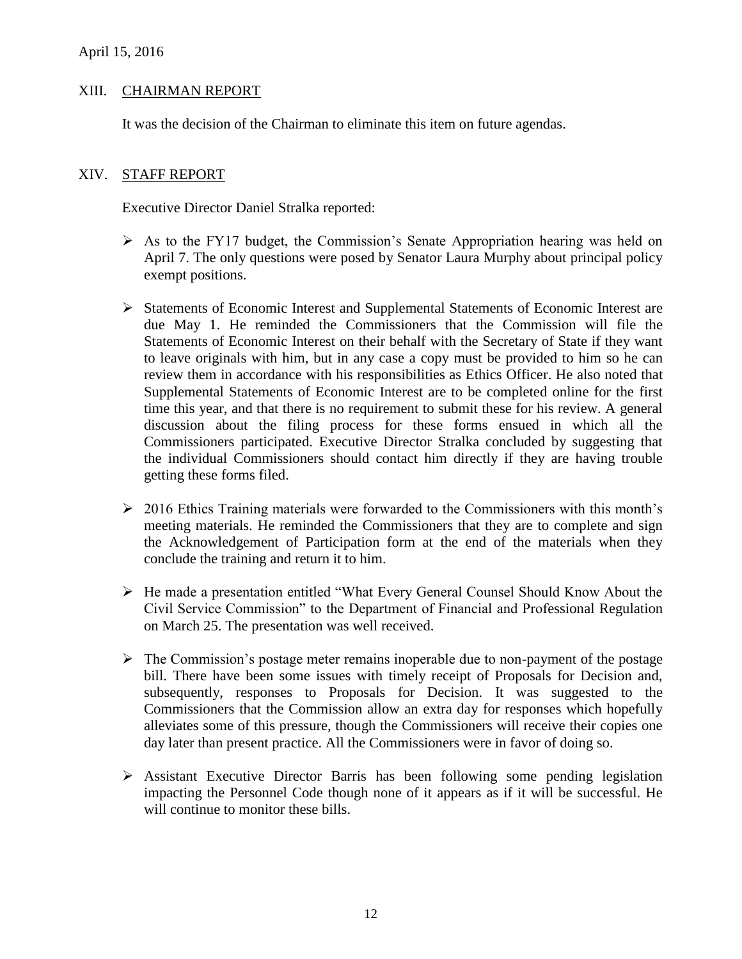# XIII. CHAIRMAN REPORT

It was the decision of the Chairman to eliminate this item on future agendas.

#### XIV. STAFF REPORT

Executive Director Daniel Stralka reported:

- $\triangleright$  As to the FY17 budget, the Commission's Senate Appropriation hearing was held on April 7. The only questions were posed by Senator Laura Murphy about principal policy exempt positions.
- Statements of Economic Interest and Supplemental Statements of Economic Interest are due May 1. He reminded the Commissioners that the Commission will file the Statements of Economic Interest on their behalf with the Secretary of State if they want to leave originals with him, but in any case a copy must be provided to him so he can review them in accordance with his responsibilities as Ethics Officer. He also noted that Supplemental Statements of Economic Interest are to be completed online for the first time this year, and that there is no requirement to submit these for his review. A general discussion about the filing process for these forms ensued in which all the Commissioners participated. Executive Director Stralka concluded by suggesting that the individual Commissioners should contact him directly if they are having trouble getting these forms filed.
- $\geq 2016$  Ethics Training materials were forwarded to the Commissioners with this month's meeting materials. He reminded the Commissioners that they are to complete and sign the Acknowledgement of Participation form at the end of the materials when they conclude the training and return it to him.
- He made a presentation entitled "What Every General Counsel Should Know About the Civil Service Commission" to the Department of Financial and Professional Regulation on March 25. The presentation was well received.
- $\triangleright$  The Commission's postage meter remains inoperable due to non-payment of the postage bill. There have been some issues with timely receipt of Proposals for Decision and, subsequently, responses to Proposals for Decision. It was suggested to the Commissioners that the Commission allow an extra day for responses which hopefully alleviates some of this pressure, though the Commissioners will receive their copies one day later than present practice. All the Commissioners were in favor of doing so.
- $\triangleright$  Assistant Executive Director Barris has been following some pending legislation impacting the Personnel Code though none of it appears as if it will be successful. He will continue to monitor these bills.